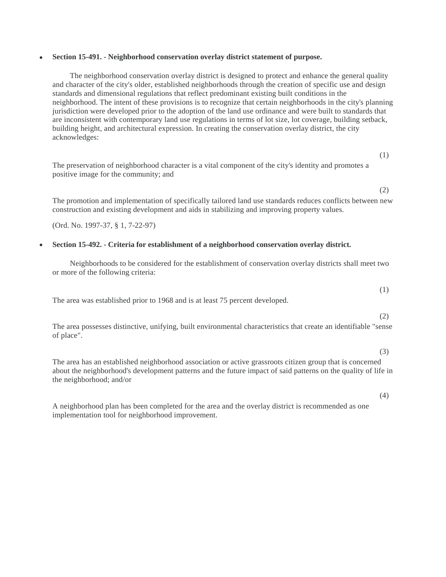# • **Section 15-491. - Neighborhood conservation overlay district statement of purpose.**

The neighborhood conservation overlay district is designed to protect and enhance the general quality and character of the city's older, established neighborhoods through the creation of specific use and design standards and dimensional regulations that reflect predominant existing built conditions in the neighborhood. The intent of these provisions is to recognize that certain neighborhoods in the city's planning jurisdiction were developed prior to the adoption of the land use ordinance and were built to standards that are inconsistent with contemporary land use regulations in terms of lot size, lot coverage, building setback, building height, and architectural expression. In creating the conservation overlay district, the city acknowledges:

The preservation of neighborhood character is a vital component of the city's identity and promotes a positive image for the community; and

(2)

The promotion and implementation of specifically tailored land use standards reduces conflicts between new construction and existing development and aids in stabilizing and improving property values.

(Ord. No. 1997-37, § 1, 7-22-97)

### • **Section 15-492. - Criteria for establishment of a neighborhood conservation overlay district.**

Neighborhoods to be considered for the establishment of conservation overlay districts shall meet two or more of the following criteria:

The area was established prior to 1968 and is at least 75 percent developed.

(2)

(3)

(1)

The area possesses distinctive, unifying, built environmental characteristics that create an identifiable "sense of place".

The area has an established neighborhood association or active grassroots citizen group that is concerned about the neighborhood's development patterns and the future impact of said patterns on the quality of life in the neighborhood; and/or

(4)

A neighborhood plan has been completed for the area and the overlay district is recommended as one implementation tool for neighborhood improvement.

(1)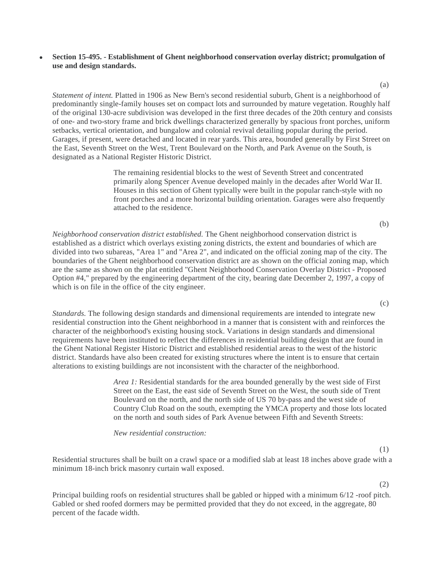## • **Section 15-495. - Establishment of Ghent neighborhood conservation overlay district; promulgation of use and design standards.**

*Statement of intent.* Platted in 1906 as New Bern's second residential suburb, Ghent is a neighborhood of predominantly single-family houses set on compact lots and surrounded by mature vegetation. Roughly half of the original 130-acre subdivision was developed in the first three decades of the 20th century and consists of one- and two-story frame and brick dwellings characterized generally by spacious front porches, uniform setbacks, vertical orientation, and bungalow and colonial revival detailing popular during the period. Garages, if present, were detached and located in rear yards. This area, bounded generally by First Street on the East, Seventh Street on the West, Trent Boulevard on the North, and Park Avenue on the South, is designated as a National Register Historic District.

> The remaining residential blocks to the west of Seventh Street and concentrated primarily along Spencer Avenue developed mainly in the decades after World War II. Houses in this section of Ghent typically were built in the popular ranch-style with no front porches and a more horizontal building orientation. Garages were also frequently attached to the residence.

*Neighborhood conservation district established.* The Ghent neighborhood conservation district is established as a district which overlays existing zoning districts, the extent and boundaries of which are divided into two subareas, "Area 1" and "Area 2", and indicated on the official zoning map of the city. The boundaries of the Ghent neighborhood conservation district are as shown on the official zoning map, which are the same as shown on the plat entitled "Ghent Neighborhood Conservation Overlay District - Proposed Option #4," prepared by the engineering department of the city, bearing date December 2, 1997, a copy of which is on file in the office of the city engineer.

*Standards.* The following design standards and dimensional requirements are intended to integrate new residential construction into the Ghent neighborhood in a manner that is consistent with and reinforces the character of the neighborhood's existing housing stock. Variations in design standards and dimensional requirements have been instituted to reflect the differences in residential building design that are found in the Ghent National Register Historic District and established residential areas to the west of the historic district. Standards have also been created for existing structures where the intent is to ensure that certain alterations to existing buildings are not inconsistent with the character of the neighborhood.

> *Area 1:* Residential standards for the area bounded generally by the west side of First Street on the East, the east side of Seventh Street on the West, the south side of Trent Boulevard on the north, and the north side of US 70 by-pass and the west side of Country Club Road on the south, exempting the YMCA property and those lots located on the north and south sides of Park Avenue between Fifth and Seventh Streets:

*New residential construction:*

(1)

(2)

Residential structures shall be built on a crawl space or a modified slab at least 18 inches above grade with a minimum 18-inch brick masonry curtain wall exposed.

Principal building roofs on residential structures shall be gabled or hipped with a minimum 6/12 -roof pitch. Gabled or shed roofed dormers may be permitted provided that they do not exceed, in the aggregate, 80 percent of the facade width.

(a)

(c)

(b)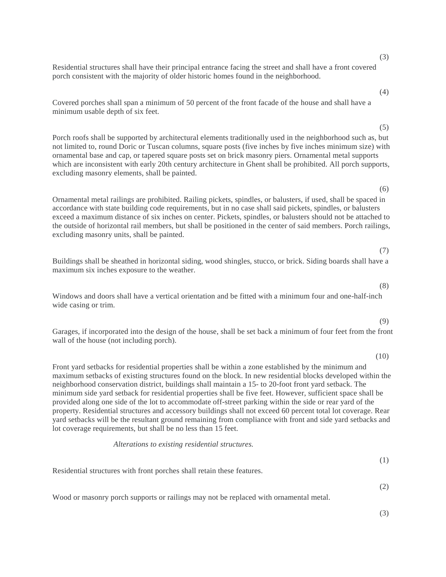(3)

(4)

(5)

(6)

Covered porches shall span a minimum of 50 percent of the front facade of the house and shall have a minimum usable depth of six feet.

Residential structures shall have their principal entrance facing the street and shall have a front covered

porch consistent with the majority of older historic homes found in the neighborhood.

Porch roofs shall be supported by architectural elements traditionally used in the neighborhood such as, but not limited to, round Doric or Tuscan columns, square posts (five inches by five inches minimum size) with ornamental base and cap, or tapered square posts set on brick masonry piers. Ornamental metal supports which are inconsistent with early 20th century architecture in Ghent shall be prohibited. All porch supports, excluding masonry elements, shall be painted.

Ornamental metal railings are prohibited. Railing pickets, spindles, or balusters, if used, shall be spaced in accordance with state building code requirements, but in no case shall said pickets, spindles, or balusters exceed a maximum distance of six inches on center. Pickets, spindles, or balusters should not be attached to the outside of horizontal rail members, but shall be positioned in the center of said members. Porch railings, excluding masonry units, shall be painted.

Buildings shall be sheathed in horizontal siding, wood shingles, stucco, or brick. Siding boards shall have a maximum six inches exposure to the weather.

Windows and doors shall have a vertical orientation and be fitted with a minimum four and one-half-inch wide casing or trim.

Garages, if incorporated into the design of the house, shall be set back a minimum of four feet from the front wall of the house (not including porch).

Front yard setbacks for residential properties shall be within a zone established by the minimum and maximum setbacks of existing structures found on the block. In new residential blocks developed within the neighborhood conservation district, buildings shall maintain a 15- to 20-foot front yard setback. The minimum side yard setback for residential properties shall be five feet. However, sufficient space shall be provided along one side of the lot to accommodate off-street parking within the side or rear yard of the property. Residential structures and accessory buildings shall not exceed 60 percent total lot coverage. Rear yard setbacks will be the resultant ground remaining from compliance with front and side yard setbacks and lot coverage requirements, but shall be no less than 15 feet.

*Alterations to existing residential structures.*

Residential structures with front porches shall retain these features.

(1)

Wood or masonry porch supports or railings may not be replaced with ornamental metal.

(3)

(2)

#### (8)

(7)

# (9)

# (10)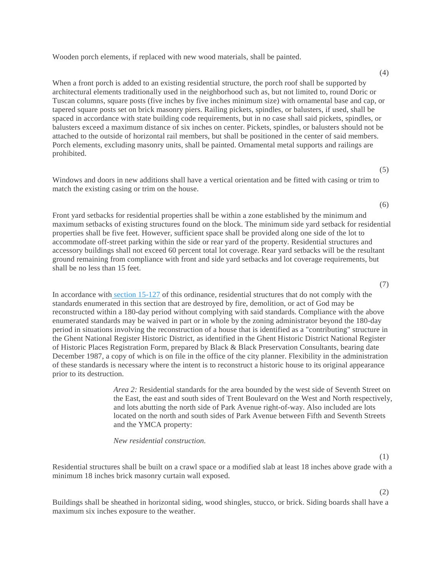Wooden porch elements, if replaced with new wood materials, shall be painted.

When a front porch is added to an existing residential structure, the porch roof shall be supported by architectural elements traditionally used in the neighborhood such as, but not limited to, round Doric or Tuscan columns, square posts (five inches by five inches minimum size) with ornamental base and cap, or tapered square posts set on brick masonry piers. Railing pickets, spindles, or balusters, if used, shall be spaced in accordance with state building code requirements, but in no case shall said pickets, spindles, or balusters exceed a maximum distance of six inches on center. Pickets, spindles, or balusters should not be attached to the outside of horizontal rail members, but shall be positioned in the center of said members. Porch elements, excluding masonry units, shall be painted. Ornamental metal supports and railings are prohibited.

Windows and doors in new additions shall have a vertical orientation and be fitted with casing or trim to match the existing casing or trim on the house.

Front yard setbacks for residential properties shall be within a zone established by the minimum and maximum setbacks of existing structures found on the block. The minimum side yard setback for residential properties shall be five feet. However, sufficient space shall be provided along one side of the lot to accommodate off-street parking within the side or rear yard of the property. Residential structures and accessory buildings shall not exceed 60 percent total lot coverage. Rear yard setbacks will be the resultant ground remaining from compliance with front and side yard setbacks and lot coverage requirements, but shall be no less than 15 feet.

In accordance with [section 15-127](https://library.municode.com/nc/new_bern/codes/code_of_ordinances?nodeId=PTIICOOR_APXALAUS_ARTVIIINOSI_S15-127ABDINOSI) of this ordinance, residential structures that do not comply with the standards enumerated in this section that are destroyed by fire, demolition, or act of God may be reconstructed within a 180-day period without complying with said standards. Compliance with the above enumerated standards may be waived in part or in whole by the zoning administrator beyond the 180-day period in situations involving the reconstruction of a house that is identified as a "contributing" structure in the Ghent National Register Historic District, as identified in the Ghent Historic District National Register of Historic Places Registration Form, prepared by Black & Black Preservation Consultants, bearing date December 1987, a copy of which is on file in the office of the city planner. Flexibility in the administration of these standards is necessary where the intent is to reconstruct a historic house to its original appearance prior to its destruction.

> *Area 2:* Residential standards for the area bounded by the west side of Seventh Street on the East, the east and south sides of Trent Boulevard on the West and North respectively, and lots abutting the north side of Park Avenue right-of-way. Also included are lots located on the north and south sides of Park Avenue between Fifth and Seventh Streets and the YMCA property:

*New residential construction.*

Residential structures shall be built on a crawl space or a modified slab at least 18 inches above grade with a minimum 18 inches brick masonry curtain wall exposed.

Buildings shall be sheathed in horizontal siding, wood shingles, stucco, or brick. Siding boards shall have a maximum six inches exposure to the weather.

(7)

(4)

(5)

(6)

(1)

(2)